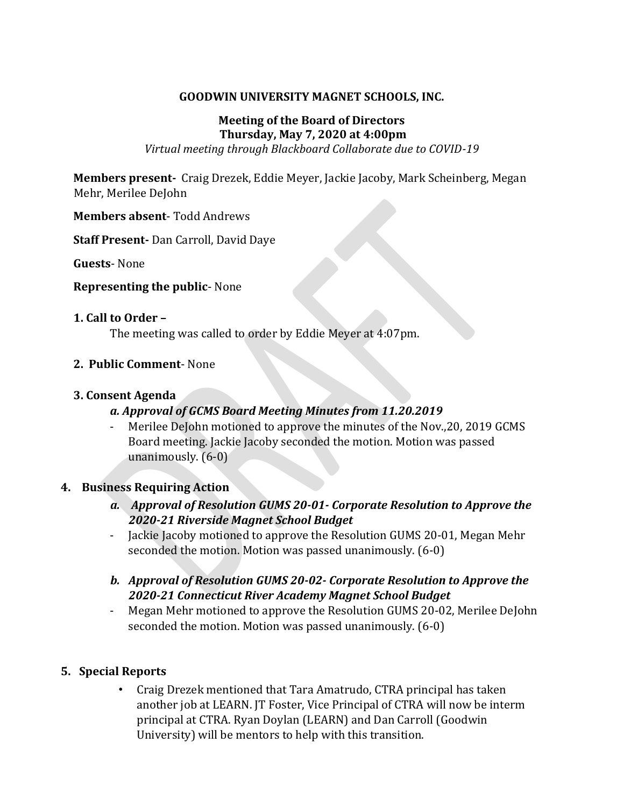### **GOODWIN UNIVERSITY MAGNET SCHOOLS, INC.**

## **Meeting of the Board of Directors Thursday, May 7, 2020 at 4:00pm**

*Virtual meeting through Blackboard Collaborate due to COVID-19*

**Members present-** Craig Drezek, Eddie Meyer, Jackie Jacoby, Mark Scheinberg, Megan Mehr, Merilee DeJohn

**Members absent**- Todd Andrews

**Staff Present-** Dan Carroll, David Daye

**Guests**- None

#### **Representing the public**- None

### **1. Call to Order –**

The meeting was called to order by Eddie Meyer at 4:07pm.

### **2. Public Comment**- None

### **3. Consent Agenda**

## *a. Approval of GCMS Board Meeting Minutes from 11.20.2019*

- Merilee DeJohn motioned to approve the minutes of the Nov., 20, 2019 GCMS Board meeting. Jackie Jacoby seconded the motion. Motion was passed unanimously. (6-0)

## **4. Business Requiring Action**

- *a. Approval of Resolution GUMS 20-01- Corporate Resolution to Approve the 2020-21 Riverside Magnet School Budget*
- Jackie Jacoby motioned to approve the Resolution GUMS 20-01, Megan Mehr seconded the motion. Motion was passed unanimously. (6-0)
- *b. Approval of Resolution GUMS 20-02- Corporate Resolution to Approve the 2020-21 Connecticut River Academy Magnet School Budget*
- Megan Mehr motioned to approve the Resolution GUMS 20-02, Merilee DeJohn seconded the motion. Motion was passed unanimously. (6-0)

## **5. Special Reports**

• Craig Drezek mentioned that Tara Amatrudo, CTRA principal has taken another job at LEARN. JT Foster, Vice Principal of CTRA will now be interm principal at CTRA. Ryan Doylan (LEARN) and Dan Carroll (Goodwin University) will be mentors to help with this transition.